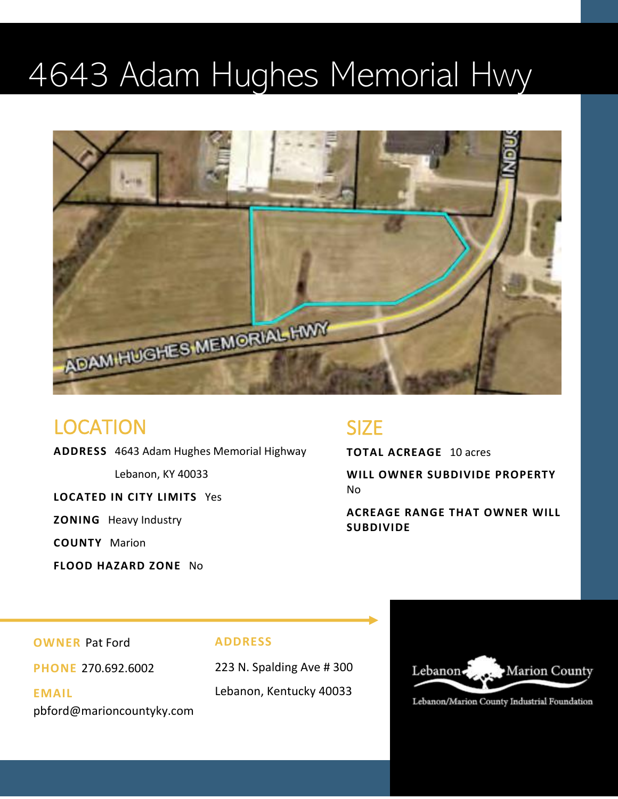### 4643 Adam Hughes Memorial Hwy



#### LOCATION

**ADDRESS** 4643 Adam Hughes Memorial Highway

Lebanon, KY 40033

**LOCATED IN CITY LIMITS** Yes

**ZONING** Heavy Industry

**COUNTY** Marion

**FLOOD HAZARD ZONE** No

#### SIZE

**TOTAL ACREAGE** 10 acres

**WILL OWNER SUBDIVIDE PROPERTY**  No

**ACREAGE RANGE THAT OWNER WILL SUBDIVIDE** 

**OWNER** Pat Ford

**PHONE** 270.692.6002

**EMAIL**  pbford@marioncountyky.com

#### **ADDRESS**

223 N. Spalding Ave # 300 Lebanon, Kentucky 40033



Lebanon/Marion County Industrial Foundation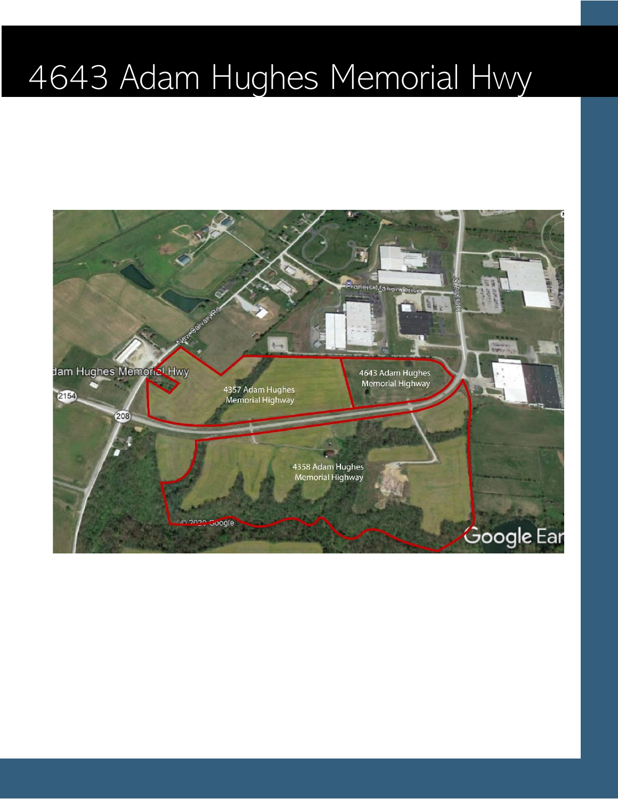# 4643 Adam Hughes Memorial Hwy